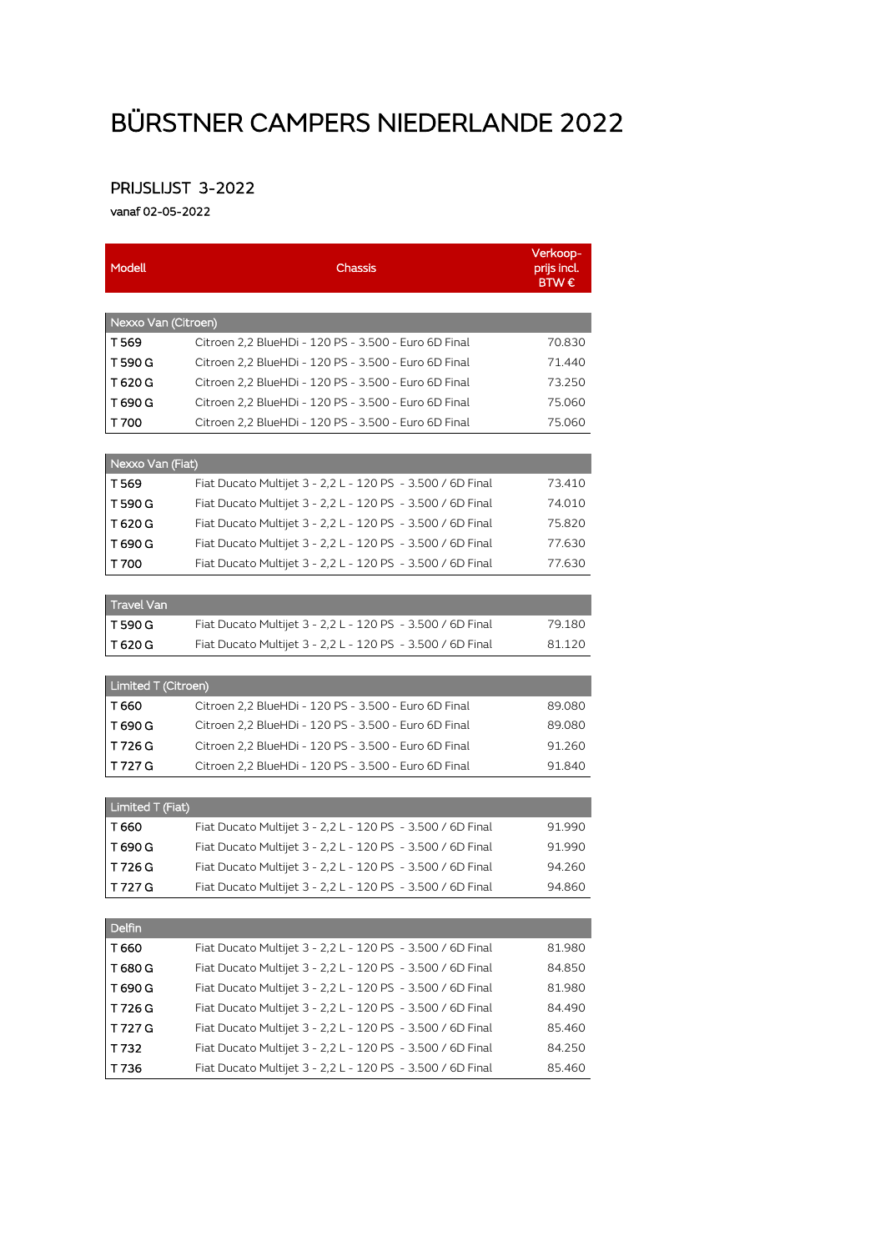## BÜRSTNER CAMPERS NIEDERLANDE 2022

## PRIJSLIJST 3-2022

vanaf 02-05-2022

| Modell              | <b>Chassis</b>                                                                                                           | Verkoop-<br>prijs incl.<br>BTW€ |
|---------------------|--------------------------------------------------------------------------------------------------------------------------|---------------------------------|
|                     |                                                                                                                          |                                 |
| Nexxo Van (Citroen) |                                                                                                                          |                                 |
| T 569               | Citroen 2.2 BlueHDi - 120 PS - 3.500 - Euro 6D Final                                                                     | 70.830                          |
| T 590 G             | Citroen 2,2 BlueHDi - 120 PS - 3.500 - Euro 6D Final                                                                     | 71.440                          |
| T 620 G             | Citroen 2,2 BlueHDi - 120 PS - 3.500 - Euro 6D Final                                                                     | 73.250                          |
| T 690 G             | Citroen 2,2 BlueHDi - 120 PS - 3.500 - Euro 6D Final                                                                     | 75.060                          |
| T 700               | Citroen 2,2 BlueHDi - 120 PS - 3.500 - Euro 6D Final                                                                     | 75.060                          |
|                     |                                                                                                                          |                                 |
| Nexxo Van (Fiat)    |                                                                                                                          |                                 |
| T 569               | Fiat Ducato Multijet 3 - 2,2 L - 120 PS - 3.500 / 6D Final                                                               | 73.410                          |
| T 590 G             | Fiat Ducato Multijet 3 - 2,2 L - 120 PS - 3.500 / 6D Final                                                               | 74.010                          |
| T 620 G             | Fiat Ducato Multijet 3 - 2,2 L - 120 PS - 3.500 / 6D Final                                                               | 75.820                          |
| T 690 G             | Fiat Ducato Multijet 3 - 2,2 L - 120 PS - 3.500 / 6D Final                                                               | 77.630                          |
| T 700               | Fiat Ducato Multijet 3 - 2,2 L - 120 PS - 3.500 / 6D Final                                                               | 77.630                          |
| <b>Travel Van</b>   |                                                                                                                          |                                 |
| T 590 G             |                                                                                                                          | 79.180                          |
| T 620 G             | Fiat Ducato Multijet 3 - 2,2 L - 120 PS - 3.500 / 6D Final<br>Fiat Ducato Multijet 3 - 2,2 L - 120 PS - 3.500 / 6D Final | 81.120                          |
|                     |                                                                                                                          |                                 |
| Limited T (Citroen) |                                                                                                                          |                                 |
| T 660               | Citroen 2,2 BlueHDi - 120 PS - 3.500 - Euro 6D Final                                                                     | 89.080                          |
| T 690 G             | Citroen 2,2 BlueHDi - 120 PS - 3.500 - Euro 6D Final                                                                     | 89.080                          |
| T 726 G             | Citroen 2,2 BlueHDi - 120 PS - 3.500 - Euro 6D Final                                                                     | 91.260                          |
| T 727 G             | Citroen 2,2 BlueHDi - 120 PS - 3.500 - Euro 6D Final                                                                     | 91.840                          |
|                     |                                                                                                                          |                                 |
| Limited T (Fiat)    |                                                                                                                          |                                 |
| T 660               | Fiat Ducato Multijet 3 - 2,2 L - 120 PS - 3.500 / 6D Final                                                               | 91.990                          |
| T 690 G             | Fiat Ducato Multijet 3 - 2,2 L - 120 PS - 3.500 / 6D Final                                                               | 91.990                          |
| T 726 G             | Fiat Ducato Multijet 3 - 2,2 L - 120 PS - 3.500 / 6D Final                                                               | 94.260                          |
| T 727 G             | Fiat Ducato Multijet 3 - 2,2 L - 120 PS - 3.500 / 6D Final                                                               | 94.860                          |
|                     |                                                                                                                          |                                 |
| Delfin              |                                                                                                                          |                                 |
| T 660               | Fiat Ducato Multijet 3 - 2,2 L - 120 PS - 3.500 / 6D Final                                                               | 81.980                          |
| T 680 G             | Fiat Ducato Multijet 3 - 2,2 L - 120 PS - 3.500 / 6D Final                                                               | 84.850                          |
| T 690 G             | Fiat Ducato Multijet 3 - 2,2 L - 120 PS - 3.500 / 6D Final                                                               | 81.980                          |
| T 726 G             | Fiat Ducato Multijet 3 - 2,2 L - 120 PS - 3.500 / 6D Final                                                               | 84.490                          |
| T 727 G             | Fiat Ducato Multijet 3 - 2,2 L - 120 PS - 3.500 / 6D Final                                                               | 85.460                          |
| T 732               | Fiat Ducato Multijet 3 - 2,2 L - 120 PS - 3.500 / 6D Final                                                               | 84.250                          |
| T 736               | Fiat Ducato Multijet 3 - 2,2 L - 120 PS - 3.500 / 6D Final                                                               | 85.460                          |